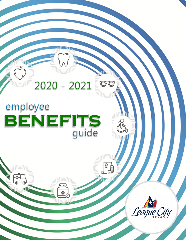

# employee **BENEFITS**

곣

E

 $\overline{c}$ 



**P**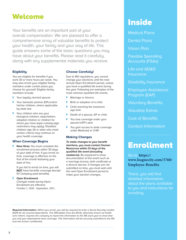# Welcome Inside

Your benefits are an important part of your overall compensation. We are pleased to offer a comprehensive array of valuable benefits to protect your health, your family and your way of life. This guide answers some of the basic questions you may have about your benefits. Please read it carefully, along with any supplemental materials you receive.

#### **Eligibility**

You are eligible for benefits if you work 30 or more hours per week. You may also enroll your eligible family members under certain plans you choose for yourself. Eligible family members include:

- } Your legally married spouse
- } Your domestic partner (DP) and/or his/her children, where applicable by state law
- Your children who are your biological children, stepchildren, adopted children or children for whom you have legal custody (age restrictions may apply). Disabled children age 26 or older who meet certain criteria may continue on your health coverage.

#### **When Coverage Begins**

**K New Hires:** You must complete the enrollment process within 30 days of your date of hire. If you enroll on time, coverage is effective on the first of the month following your date of hire.

If you fail to enroll on time, you will **NOT** have benefits coverage (except for company-paid benefits).

} **Open Enrollment:** Changes made during Open Enrollment are effective October 1, 2020 - September, 2021.

#### **Choose Carefully!**

Due to IRS regulations, you cannot change your elections until the next annual Open Enrollment period, unless you have a qualified life event during the year. Following are examples of the most common qualified life events:

- } Marriage or divorce
- Birth or adoption of a child
- Child reaching the maximum age limit
- Death of a spouse, DP or child
- You lose coverage under your spouse's/DP's plan
- You gain access to state coverage under Medicaid or CHIP

#### **Making Changes**

**To make changes to your benefit elections, you must contact Human Resources within 31 days of the qualified life event (including newborns).** Be prepared to show documentation of the event such as a marriage license, birth certificate or a divorce decree. If changes are not submitted on time, you must wait until the next Open Enrollment period to make your election changes.

Medical Plans

Dental Plans

Vision Plan

Flexible Spending Accounts (FSAs)

Life and AD&D **Insurance** 

Disability Insurance

Employee Assistance Program (EAP)

Voluntary Benefits

Valuable Extras

Cost of Benefits

Contact Information

# Enrollment

Go to **https:// www.leaguecity.com/3760/ Employee-Benefits**

There, you will find detailed information about the plans available to you and instructions for enrolling.

*Required Information—When you enroll, you will be required to enter a Social Security number (SSN) for all covered dependents. The Affordable Care Act (ACA), otherwise known as health care reform, requires the company to report this information to the IRS each year to show that you and your dependents have coverage. This information will be securely submitted to the IRS and will remain confidential.*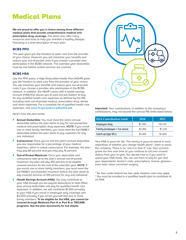### Medical Plans

**We are proud to offer you a choice among three different medical plans that provide comprehensive medical and prescription drug coverage.** The plans also offer many resources and tools to help you maintain a healthy lifestyle. Following is a brief description of each plan.

#### **BCBS PPO**

This plan gives you the freedom to seek care from the provider of your choice. However, you will maximize your benefits and reduce your out-of-pocket costs if you choose a provider who participates in the BCBS network. The calendar-year deductible must be met before certain services are covered.

#### **BCBS HSA**

Like the PPO plans, a High-Deductible Health Plan (HDHP) gives you the freedom to seek care from the provider of your choice. You will maximize your benefits and reduce your out-of-pocket costs if you choose a provider who participates in the BCBS network. In addition, the HDHP comes with a health savings account (HSA) that allows you to save pre-tax dollars<sup>1</sup> to pay for any qualified health care expenses as defined by the IRS, including most out-of-pocket medical, prescription drug, dental and vision expenses. For a complete list of qualified health care expenses, visit **www.irs.gov/pub/irs-pdf/p502.pdf.**

Here's how the plan works:

- } **Annual Deductible:** You must meet the entire annual deductible before the plan starts to pay for non-preventive medical and prescription drug expenses. *NOTE: If you enroll one or more family members, you must meet the full FAMILY deductible before the plan starts to pay expenses for any one individual.*
- **Coinsurance:** Once you've met the plan's annual deductible, you are responsible for a percentage of your medical expenses, which is called coinsurance. For example, the plan may pay 85 percent and you may pay 15 percent.
- **Out-of-Pocket Maximum:** Once your deductible and coinsurance add up to the plan's annual out-of-pocket maximum, the plan will pay 100 percent of all eligible covered services for the rest of the calendar year. *NOTE: If you enroll one or more family members, you must meet the full FAMILY out-of-pocket maximum before the plan starts to pay covered services at 100 percent for any one individual.*
- Health Savings Account (HSA): You may contribute to your HSA through pre-tax payroll deductions to help offset your annual deductible and pay for qualified health care expenses. In addition, we will contribute \$1,500 annually to your HSA if you enroll in employee-only coverage and \$2,000 annually if you enroll yourself and one or more family members. **To be eligible for the HSA, you cannot be covered through Medicare Part A or Part B or TRICARE programs. See the plan documents for full details.**



**Important:** Your contributions, in addition to the company's contributions, may not exceed the annual IRS limits listed below.

| <b>HSA Contribution Limit</b> | 2020    | 2021    |
|-------------------------------|---------|---------|
| <b>Employee Only</b>          | \$3,500 | \$3,550 |
| Family (employee + 1 or more) | \$7,000 | \$7,100 |
| Catch-up (age 55+)            | \$1,000 | \$1,000 |

Your HSA is yours for life. The money is yours to spend or save, regardless of whether you change health plans<sup>2</sup>, retire or leave the company. There is no "use it or lose it" rule. Your account grows tax free over time as you continue to roll over unused dollars from year to year. You decide how or if you want to spend your HSA funds. You can use them to pay for you and your dependents' doctor's visits, prescriptions, braces, glasses even laser vision correction surgery.

*1 Tax free under federal tax law; state taxation rules may apply 2 You must be enrolled in a qualified health plan to contribute to an HSA.*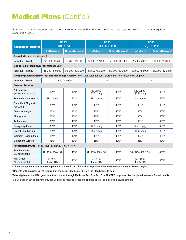### Medical Plans (Cont'd.)

Following is a high-level overview of the coverage available. For complete coverage details, please refer to the Summary Plan Description (SPD).

| <b>Key Medical Benefits</b>                                                                                          | <b>BCBS</b><br><b>HDHP / HSA</b> |                             | <b>BCBS</b><br>Mid Plan - PPO |                             | <b>BCBS</b><br><b>Buy Up - PPO</b> |                             |
|----------------------------------------------------------------------------------------------------------------------|----------------------------------|-----------------------------|-------------------------------|-----------------------------|------------------------------------|-----------------------------|
|                                                                                                                      | <b>In-Network</b>                | Out-of-Network <sup>1</sup> | <b>In-Network</b>             | Out-of-Network <sup>1</sup> | <b>In-Network</b>                  | Out-of-Network <sup>1</sup> |
| Deductible (per calendar year)                                                                                       |                                  |                             |                               |                             |                                    |                             |
| Individual / Family                                                                                                  | \$2,800 / \$5,200                | \$5,200 / \$10,600          | \$1,000 / \$2,000             | \$5,000 / \$10,000          | \$500 / \$1,000                    | \$2,000 / \$4,000           |
| Out-of-Pocket Maximum (per calendar year)                                                                            |                                  |                             |                               |                             |                                    |                             |
| Individual / Family                                                                                                  | \$5,200 / \$10,600               | \$10,600 / \$20,000         | \$3.500 / \$6.000             | \$15,000 / \$30,000         | \$2,000 / \$4,000                  | \$10,000 / \$20,000         |
| Company Contribution to Your Health Savings Account (HSA) (per calendar year; prorated for new hires/newly eligible) |                                  |                             |                               |                             |                                    |                             |
| Individual / Family                                                                                                  | \$1,500 / \$2,000                |                             | N/A                           |                             | N/A                                |                             |
| <b>Covered Services</b>                                                                                              |                                  |                             |                               |                             |                                    |                             |
| <b>Office Visits</b><br>(physician/specialist)                                                                       | 15%*                             | 40%*                        | $$20$ copay /<br>\$35 copay   | 40%*                        | $$20$ copay /<br>$$25$ copay       | 40%*                        |
| <b>Routine Preventive Care</b>                                                                                       | No charge                        | 40%*                        | No charge                     | 40%*                        | No charge                          | 40%*                        |
| <b>Outpatient Diagnostic</b><br>(lab/X-ray)                                                                          | 15%*                             | 40%*                        | 15%*                          | 40%*                        | $15\%$ *                           | 40%*                        |
| <b>Complex Imaging</b>                                                                                               | 15%*                             | 40%*                        | 15%*                          | 40%*                        | 15%*                               | 40%*                        |
| Chiropractic                                                                                                         | 15%                              | 40%*                        | $15\%$ *                      | 40%*                        | $15\%$ *                           | 40%*                        |
| Ambulance                                                                                                            | 15%*                             | 40%*                        | $15\%$ *                      | 40%*                        | $15\%$ *                           | 40%*                        |
| <b>Emergency Room</b>                                                                                                | 15%*                             | 40%*                        | $$150$ copay                  | 40%*                        | $$150$ copay                       | 40%*                        |
| <b>Urgent Care Facility</b>                                                                                          | 15%*                             | 40%*                        | $$50$ copay                   | 40%*                        | $$50$ copay                        | 40%*                        |
| <b>Inpatient Hospital Stay</b>                                                                                       | 15%*                             | 40%*                        | 15%*                          | 40%*                        | 15%*                               | 40%*                        |
| <b>Outpatient Surgery</b>                                                                                            | 15%*                             | 40%*                        | 15%*                          | 40%*                        | 15%*                               | 40%*                        |
| <b>Prescription Drugs</b> (Tier 1a / Tier 1b / Tier 2 / Tier 3 / Tier 4)                                             |                                  |                             |                               |                             |                                    |                             |
| <b>Retail Pharmacu</b><br>(30-day supply)                                                                            | $$4/$ \$35 / \$60 / 15%          | 40%*                        | \$4/\$35/\$60/15%             | 40%*                        | \$4/\$25/\$50/15%                  | 40%*                        |
| <b>Mail Order</b><br>(90-day supply)                                                                                 | \$8/\$70/<br>\$120 / 15%         | 40%*                        | \$8/\$70/<br>\$120 / 15%      | 40%*                        | \$8/\$50/<br>\$100 / 15%           | 40%*                        |

**Coinsurance percentages and copay amounts shown in the above chart represent what the member is responsible for paying.**

**\*Benefits with an asterisk ( \* ) require that the deductible be met before the Plan begins to pay.** 

**To be eligible for the HSA, you cannot be covered through Medicare Part A or Part B or TRICARE programs. See the plan documents for full details.**

1. If you use an out-of-network provider, you will be responsible for any charges above the maximum allowed amount.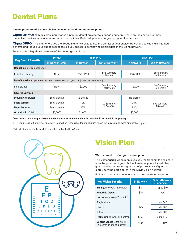### Dental Plans

#### **We are proud to offer you a choice between three different dental plans.**

**Cigna DHMO:** With this plan, you choose a primary dental provider to manage your care. There are no charges for most preventive services, no claim forms and no deductibles. Reduced, pre-set charges apply to other services.

**Cigna DPPO:** This plan offers you the freedom and flexibility to use the dentist of your choice. However, you will maximize your benefits and reduce your out-of-pocket costs if you choose a dentist who participates in the Cigna network.

Following is a high-level overview of the coverage available.

|                                                                                            | <b>DHMO</b>            | <b>High-PPO</b>   |                             | Low-PPO           |                             |  |
|--------------------------------------------------------------------------------------------|------------------------|-------------------|-----------------------------|-------------------|-----------------------------|--|
| <b>Key Dental Benefits</b>                                                                 | <b>In-Network Only</b> | <b>In-Network</b> | Out-of-Network <sup>1</sup> | <b>In-Network</b> | Out-of-Network <sup>1</sup> |  |
| <b>Deductible</b> (per calendar year)                                                      |                        |                   |                             |                   |                             |  |
| Individual / Family                                                                        | None                   | \$50/\$150        | See Summary<br>of Benefits  | \$50/\$150        | See Summary<br>of Benefits  |  |
| <b>Benefit Maximum</b> (per calendar year; preventive, basic, and major services combined) |                        |                   |                             |                   |                             |  |
| Per Individual                                                                             | None                   | \$2,000           | See Summary<br>of Benefits  | \$2,000           | See Summary<br>of Benefits  |  |
| <b>Covered Services</b>                                                                    |                        |                   |                             |                   |                             |  |
| <b>Preventive Services</b>                                                                 | See Schedule           | No charge         |                             | No charge         |                             |  |
| <b>Basic Services</b>                                                                      | See Schedule           | 10%               | See Summary<br>of Benefits  | 20%               | See Summary                 |  |
| <b>Major Services</b>                                                                      | See Schedule           | 40%               |                             | 50%               | of Benefits                 |  |
| <b>Orthodontia (Child)</b>                                                                 | $$2,000*$              | \$2,000           |                             | \$2,000           |                             |  |

**Coinsurance percentages shown in the above chart represent what the member is responsible for paying.**

1. If you use an out-of-network provider, you will be responsible for any charges above the maximum allowed amount by Cigna.

\*Orthodontia is available for child and adult under the DHMO plan.



### Vision Plan

#### **We are proud to offer you a vision plan.**

The **Davis Vision** vision plan gives you the freedom to seek care from the provider of your choice. However, you will maximize your benefits and reduce your out-of-pocket costs if you choose a provider who participates in the Davis Vision network.

Following is a high-level overview of the coverage available.

| <b>Key Vision Benefits</b>                                          | <b>In-Network</b> | <b>Out-of-Network</b><br><b>Reimbursement</b> |
|---------------------------------------------------------------------|-------------------|-----------------------------------------------|
| <b>Exam</b> (once every 12 months)                                  | \$10              | Up to \$40                                    |
| <b>Materials Copay</b>                                              | \$25              | N/A                                           |
| <b>Lenses</b> (once every 12 months)                                |                   |                                               |
| <b>Single Vision</b>                                                |                   | Up to \$40                                    |
| <b>Bifocal</b>                                                      | \$25              | Up to \$60                                    |
| <b>Trifocal</b>                                                     |                   | Up to \$80                                    |
| <b>Frames</b> (once every 12 months)                                | \$150             | Up to \$45                                    |
| <b>Contact Lenses (once every</b><br>12 months; in lieu of glasses) | \$150             | Up to \$150                                   |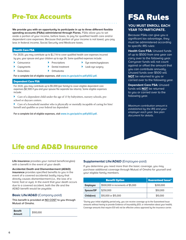### Pre-Tax Accounts

**We provide you with an opportunity to participate in up to three different flexible spending accounts (FSAs) administered through Flores.** FSAs allow you to set aside a portion of your income, before taxes, to pay for qualified health care and/or dependent care expenses. Because that portion of your income is not taxed, you pay less in federal income, Social Security and Medicare taxes.

#### Health Care FSA

For 2020, you may contribute up to \$2,750 to cover qualified health care expenses incurred by you, your spouse and your children up to age 26. Some qualified expenses include:

- } Coinsurance
- **Prescriptions**
- **Eye exams/eyeglasses**
- **Copayments Deductibles**
- Dental treatment } Orthodontia
- Lasik eye surgery
- 
- 

**For a complete list of eligible expenses, visit www.irs.gov/pub/irs-pdf/p502.pdf.**

#### Dependent Care FSA

For 2020, you may contribute up to \$5,000 (per family) to cover eligible dependent care expenses (\$2,500 if you and your spouse file separate tax returns). Some eligible expenses include:

}}Care of a dependent child under the age of 13 by babysitters, nursery schools, preschool or daycare centers.

Care of a household member who is physically or mentally incapable of caring for him/ herself and qualifies as your federal tax dependent

**For a complete list of eligible expenses, visit www.irs.gov/pub/irs-pdf/p503.pdf.**

# FSA Rules

#### **YOU MUST ENROLL EACH YEAR TO PARTICIPATE.**

Because FSAs can give you a significant tax advantage, they must be administered according to specific IRS rules:

**Health Care FSA:** Unused funds of up to \$500 from one year can carry over to the following year. Carryover funds will not count against or offset the amount that uou can contribute annuallu. Unused funds over \$500 will **NOT** be returned to you or carried over to the following year.

**Dependent Care FSA:** Unused funds will **NOT** be returned to you or carried over to the following year.

*Maximum contribution amount is established by the IRS and your employer each year. See plan document for details.*

### Life and AD&D Insurance

**Life insurance** provides your named beneficiary(ies) with a benefit in the event of your death.

**Accidental Death and Dismemberment (AD&D)** 

**insurance** provides specified benefits to you in the event of a covered accidental bodily injury that directly causes dismemberment (i.e., the loss of a hand, foot or eye). In the event that your death occurs due to a covered accident, both the life and the AD&D benefit would be payable.

#### **Basic Life/AD&D** (Company-paid)

**This benefit is provided at NO COST to you through Mutual of Omaha.** 

| <b>Benefit</b><br>Amount | \$100,000 |
|--------------------------|-----------|
|--------------------------|-----------|

#### **Supplemental Life/AD&D** (Employee-paid)

If you determine you need more than the basic coverage, you may purchase additional coverage through Mutual of Omaha for yourself and your eligible family members.

|                 | <b>Benefit Option</b>              | <b>Guaranteed Issue*</b> |
|-----------------|------------------------------------|--------------------------|
| <b>Employee</b> | \$500,000 in increments of \$5,000 | \$200,000                |
| Spouse/DP       | \$250,000                          | \$50,000                 |
| Child(ren)      | \$10,000 or \$15,000               | \$10,000                 |

\*During your initial eligibility period only, you can receive coverage up to the Guaranteed Issue amounts without having to provide Evidence of Insurability (EOI, or information about your health). Coverage amounts that require EOI will not be effective unless approved by the insurance carrier.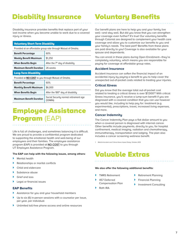## Disability Insurance

Disability insurance provides benefits that replace part of your lost income when you become unable to work due to a covered injury or illness.

#### Voluntary Short-Term Disability

Provided at an affordable group rate through Mutual of Omaha.

| 60%<br><b>Benefit Percentage</b>                                            |                                                  |  |
|-----------------------------------------------------------------------------|--------------------------------------------------|--|
| \$1,250<br><b>Weekly Benefit Maximum</b>                                    |                                                  |  |
| After the $7th$ day of disability<br><b>When Benefits Begin</b>             |                                                  |  |
| <b>Maximum Benefit Duration</b><br>26 weeks                                 |                                                  |  |
| <b>Long-Term Disability</b>                                                 |                                                  |  |
| Provided at NO COST to you through Mutual of Omaha.                         |                                                  |  |
| 60%<br><b>Benefit Percentage</b>                                            |                                                  |  |
| \$6,000<br><b>Monthly Benefit Maximum</b>                                   |                                                  |  |
| After the 180 <sup>th</sup> day of disability<br><b>When Benefits Begin</b> |                                                  |  |
| <b>Maximum Benefit Duration</b>                                             | Social Security normal retirement age<br>(SSNRA) |  |

### Employee Assistance Program (EAP)

Life is full of challenges, and sometimes balancing it is difficult. We are proud to provide a confidential program dedicated to supporting the emotional health and well-being of our employees and their families. The employee assistance program (EAP) is provided at **NO COST** to you through UT Employee Assistance Program.

#### **The EAP can help with the following issues, among others:**

- **Mental health**
- Relationships or marital conflicts
- Child and eldercare
- Substance abuse
- Grief and loss
- Legal or financial issues

#### **EAP Benefits**

- Assistance for you and your household members
- Up to six (6) in-person sessions with a counselor per issue, per year, per individual
- Unlimited toll-free phone access and online resources

### Voluntary Benefits

Our benefit plans are here to help you and your family live well—and stay well. But did you know that you can strengthen your coverage even further? It's true! Our voluntary benefits through Colonial are designed to complement your health care coverage and allow you to customize our benefits to you and your family's needs. The best part? Benefits from these plans are paid directly to you! Coverage is also available for your spouse and dependents.

You can enroll in these plans during Open Enrollment—they're completely voluntary, which means you are responsible for paying for coverage at affordable group rates.

#### **Accident Insurance**

Accident insurance can soften the financial impact of an accidental injury by paying a benefit to you to help cover the unexpected out-of-pocket costs related to treating your injuries.

#### **Critical Illness**

Did you know that the average total out-of-pocket cost related to treating a critical illness is over \$7,0001 ? With critical illness insurance, you'll receive a lump-sum benefit if you are diagnosed with a covered condition that you can use however you would like, including to help pay for: treatment (e.g. experimental), prescriptions, travel, increased living expenses, and more.

#### **Cancer Indemnity**

The Cancer Indemnity Plan pays a flat dollar amount to you when a covered person is diagnosed with internal cancer. Other benefits include payments, directly to you, for hospital confinement, medical imaging, radiation and chemotherapy, immunotherapy, transportation and lodging. The plan also includes a cancer screening wellness benefit.

*1. MetLife Accident and Critical Illness Impact Study, October 2013* 

### Valuable Extras

#### **We also offer the following additional benefits:**

- **TMRS Retirement**
- 457 Deferred Compensation Plan
- Roth IRA
- } Retirement Planning
- **Financial Planning**
- Investment Consulting
	-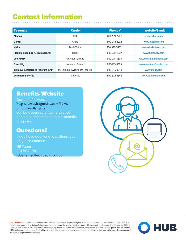### Contact Information

| <b>Carrier</b><br><b>Coverage</b>        |                                | <b>Phone #</b> | <b>Website/Email</b>   |
|------------------------------------------|--------------------------------|----------------|------------------------|
| <b>Medical</b>                           | <b>BCBS</b>                    | 800-521-2227   | www.bcbstx.com         |
| <b>Dental</b>                            | Cigna                          | 800-244-6224   | www.mycigna.com        |
| <b>Vision</b>                            | Davis Vision                   | 800-999-5431   | www.davisvision.com    |
| <b>Flexible Spending Accounts (FSAs)</b> | <b>Flores</b>                  | 800-532-3327   | www.flores247.com      |
| Life/AD&D                                | Mutual of Omaha                | 800-775-8805   | www.mututalofomaha.com |
| <b>Disability</b>                        | Mutual of Omaha                | 800-775-8805   | www.mututalofomaha.com |
| <b>Employee Assistance Program (EAP)</b> | UT Employee Assistance Program | 800-346-3549   | www.uteap.com          |
| <b>Voluntary Benefits</b>                | Colonial                       | 800-325-4368   | www.colonialllife.com  |

### Benefits Website

Our benefits website **https://www.leaguecity.com/3760/ Employee-Benefits** 

can be accessed anytime you want additional information on our benefits programs.

### Questions?

If you have additional questions, you may also contact:

HR Team 281-554-1010

**lcbenefits@leaguecitytx.gov**



**DISCLAIMER:** The material in this benefits brochure is for informational purposes only and is neither an offer of coverage or medical or legal advice. It contains only a partial description of plan or program benefits and does not constitute a contract. Please refer to the Summary Plan Description (SPD) for complete plan details. In case of a conflict between your plan documents and this information, the plan documents will always govern. **Annual Notices:**  ERISA and various other state and federal laws require that employers provide disclosure and annual notices to their plan participants. The company will distribute all required notices annually.